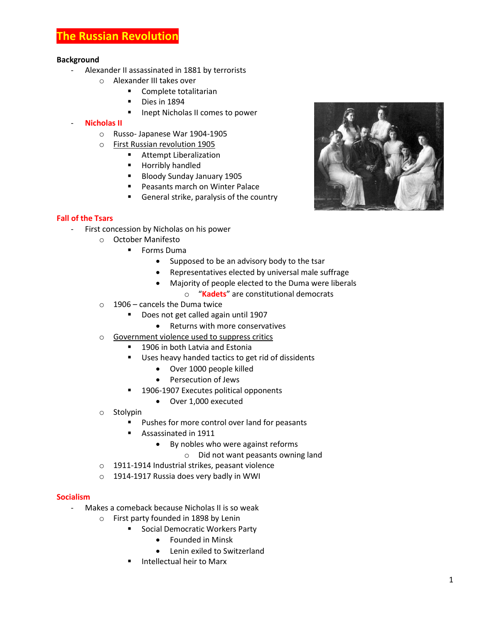# **The Russian Revolution**

#### **Background**

- Alexander II assassinated in 1881 by terrorists
	- o Alexander III takes over
		- Complete totalitarian
		- Dies in 1894
		- **If** Inept Nicholas II comes to power

#### - **Nicholas II**

- o Russo- Japanese War 1904-1905
- o First Russian revolution 1905
	- **Attempt Liberalization**
	- **Horribly handled**
	- Bloody Sunday January 1905
	- **Peasants march on Winter Palace**
	- General strike, paralysis of the country

## **Fall of the Tsars**

- First concession by Nicholas on his power
	- o October Manifesto
		- **Forms Duma** 
			- Supposed to be an advisory body to the tsar
			- Representatives elected by universal male suffrage
			- Majority of people elected to the Duma were liberals
				- o "**Kadets**" are constitutional democrats
	- $\circ$  1906 cancels the Duma twice
		- **Does not get called again until 1907** 
			- Returns with more conservatives
	- o Government violence used to suppress critics
		- **1906 in both Latvia and Estonia**
		- Uses heavy handed tactics to get rid of dissidents
			- Over 1000 people killed
			- Persecution of Jews
		- 1906-1907 Executes political opponents
			- Over 1,000 executed
	- o Stolypin
		- Pushes for more control over land for peasants
		- Assassinated in 1911
			- By nobles who were against reforms
				- o Did not want peasants owning land
	- o 1911-1914 Industrial strikes, peasant violence
	- o 1914-1917 Russia does very badly in WWI

#### **Socialism**

- Makes a comeback because Nicholas II is so weak
	- o First party founded in 1898 by Lenin
		- **Social Democratic Workers Party** 
			- Founded in Minsk
			- Lenin exiled to Switzerland
			- Intellectual heir to Marx

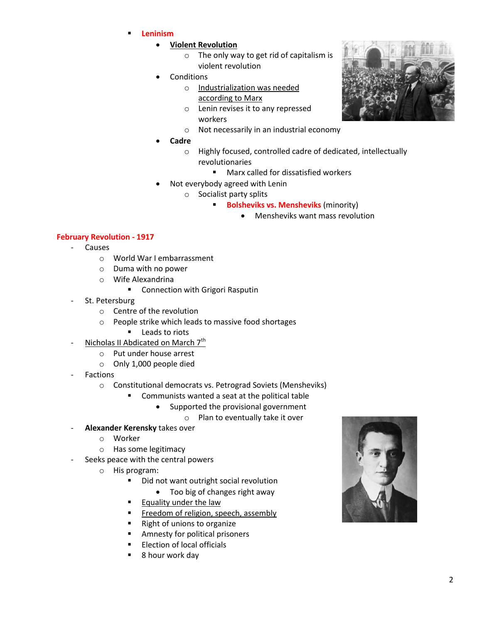- **Leninism**
	- **Violent Revolution** 
		- o The only way to get rid of capitalism is violent revolution
	- **Conditions** 
		- o Industrialization was needed according to Marx
		- o Lenin revises it to any repressed workers
		- o Not necessarily in an industrial economy
	- **Cadre**
		- o Highly focused, controlled cadre of dedicated, intellectually revolutionaries
			- Marx called for dissatisfied workers
	- Not everybody agreed with Lenin
		- o Socialist party splits
			- **Bolsheviks vs. Mensheviks** (minority)
				- Mensheviks want mass revolution

### **February Revolution - 1917**

- Causes
	- o World War I embarrassment
	- o Duma with no power
	- o Wife Alexandrina
		- **E** Connection with Grigori Rasputin
- St. Petersburg
	- o Centre of the revolution
	- o People strike which leads to massive food shortages
		- **Leads to riots**
- Nicholas II Abdicated on March 7<sup>th</sup>
	- o Put under house arrest
	- o Only 1,000 people died
- **Factions** 
	- o Constitutional democrats vs. Petrograd Soviets (Mensheviks)
		- **EXECOMMUNISTS wanted a seat at the political table** 
			- Supported the provisional government
				- o Plan to eventually take it over
- **Alexander Kerensky** takes over
	- o Worker
	- o Has some legitimacy
- Seeks peace with the central powers
	- o His program:
		- Did not want outright social revolution
			- Too big of changes right away
		- Equality under the law
		- Freedom of religion, speech, assembly
		- Right of unions to organize
		- **Amnesty for political prisoners**
		- **Election of local officials**
		- 8 hour work day



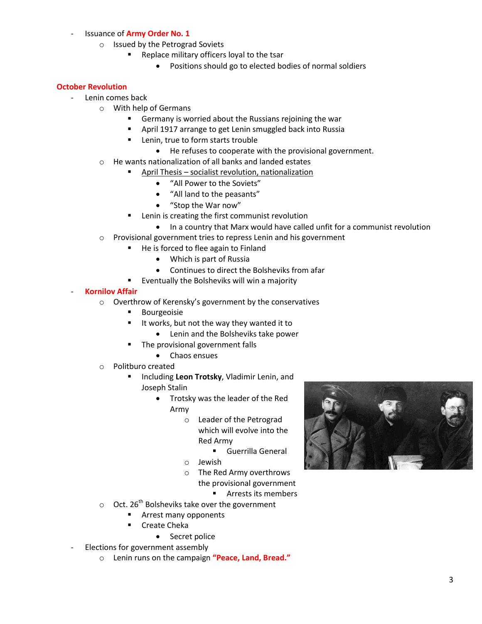# - Issuance of **Army Order No. 1**

- o Issued by the Petrograd Soviets
	- **Replace military officers loyal to the tsar** 
		- Positions should go to elected bodies of normal soldiers

# **October Revolution**

- Lenin comes back
	- o With help of Germans
		- Germany is worried about the Russians rejoining the war
		- April 1917 arrange to get Lenin smuggled back into Russia
		- Lenin, true to form starts trouble
			- He refuses to cooperate with the provisional government.
	- o He wants nationalization of all banks and landed estates
		- April Thesis socialist revolution, nationalization
			- "All Power to the Soviets"
			- "All land to the peasants"
			- "Stop the War now"
		- **EXECT** Lenin is creating the first communist revolution
			- In a country that Marx would have called unfit for a communist revolution
	- o Provisional government tries to repress Lenin and his government
		- He is forced to flee again to Finland
			- Which is part of Russia
			- Continues to direct the Bolsheviks from afar
		- Eventually the Bolsheviks will win a majority

### - **Kornilov Affair**

- o Overthrow of Kerensky's government by the conservatives
	- Bourgeoisie
	- It works, but not the way they wanted it to
		- Lenin and the Bolsheviks take power
	- The provisional government falls
		- Chaos ensues
- o Politburo created
	- Including **Leon Trotsky**, Vladimir Lenin, and Joseph Stalin
		- Trotsky was the leader of the Red Army
			- o Leader of the Petrograd which will evolve into the Red Army
				- Guerrilla General
			- o Jewish
			- o The Red Army overthrows
				- the provisional government

**Arrests its members** 

- $\circ$  Oct. 26<sup>th</sup> Bolsheviks take over the government
	- Arrest many opponents
	- **E** Create Cheka
		- Secret police
- Elections for government assembly
	- o Lenin runs on the campaign **"Peace, Land, Bread."**